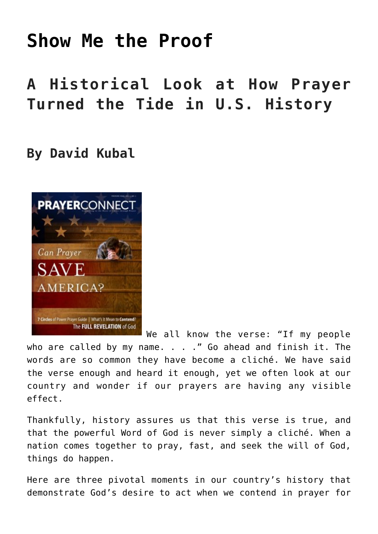# **[Show Me the Proof](https://www.prayerleader.com/show-me-the-proof/)**

## **A Historical Look at How Prayer Turned the Tide in U.S. History**

### **By David Kubal**



We all know the verse: "If my people who are called by my name. . . ." Go ahead and finish it. The words are so common they have become a cliché. We have said the verse enough and heard it enough, yet we often look at our country and wonder if our prayers are having any visible effect.

Thankfully, history assures us that this verse is true, and that the powerful Word of God is never simply a cliché. When a nation comes together to pray, fast, and seek the will of God, things do happen.

Here are three pivotal moments in our country's history that demonstrate God's desire to act when we contend in prayer for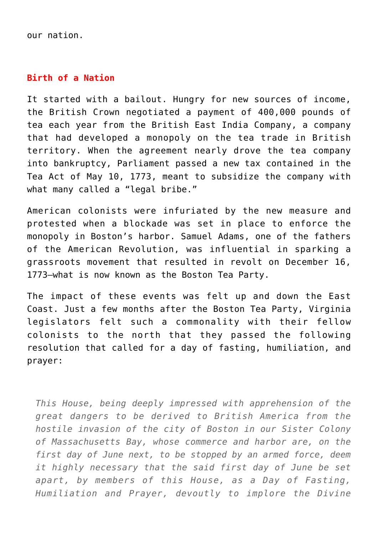our nation.

#### **Birth of a Nation**

It started with a bailout. Hungry for new sources of income, the British Crown negotiated a payment of 400,000 pounds of tea each year from the British East India Company, a company that had developed a monopoly on the tea trade in British territory. When the agreement nearly drove the tea company into bankruptcy, Parliament passed a new tax contained in the Tea Act of May 10, 1773, meant to subsidize the company with what many called a "legal bribe."

American colonists were infuriated by the new measure and protested when a blockade was set in place to enforce the monopoly in Boston's harbor. Samuel Adams, one of the fathers of the American Revolution, was influential in sparking a grassroots movement that resulted in revolt on December 16, 1773—what is now known as the Boston Tea Party.

The impact of these events was felt up and down the East Coast. Just a few months after the Boston Tea Party, Virginia legislators felt such a commonality with their fellow colonists to the north that they passed the following resolution that called for a day of fasting, humiliation, and prayer:

*This House, being deeply impressed with apprehension of the great dangers to be derived to British America from the hostile invasion of the city of Boston in our Sister Colony of Massachusetts Bay, whose commerce and harbor are, on the first day of June next, to be stopped by an armed force, deem it highly necessary that the said first day of June be set apart, by members of this House, as a Day of Fasting, Humiliation and Prayer, devoutly to implore the Divine*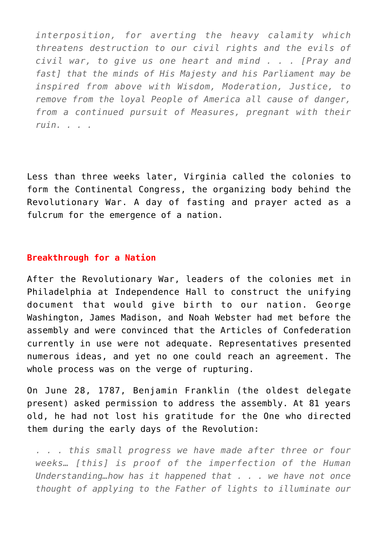*interposition, for averting the heavy calamity which threatens destruction to our civil rights and the evils of civil war, to give us one heart and mind . . . [Pray and fast] that the minds of His Majesty and his Parliament may be inspired from above with Wisdom, Moderation, Justice, to remove from the loyal People of America all cause of danger, from a continued pursuit of Measures, pregnant with their ruin. . . .*

Less than three weeks later, Virginia called the colonies to form the Continental Congress, the organizing body behind the Revolutionary War. A day of fasting and prayer acted as a fulcrum for the emergence of a nation.

#### **Breakthrough for a Nation**

After the Revolutionary War, leaders of the colonies met in Philadelphia at Independence Hall to construct the unifying document that would give birth to our nation. George Washington, James Madison, and Noah Webster had met before the assembly and were convinced that the Articles of Confederation currently in use were not adequate. Representatives presented numerous ideas, and yet no one could reach an agreement. The whole process was on the verge of rupturing.

On June 28, 1787, Benjamin Franklin (the oldest delegate present) asked permission to address the assembly. At 81 years old, he had not lost his gratitude for the One who directed them during the early days of the Revolution:

*. . . this small progress we have made after three or four weeks… [this] is proof of the imperfection of the Human Understanding…how has it happened that . . . we have not once thought of applying to the Father of lights to illuminate our*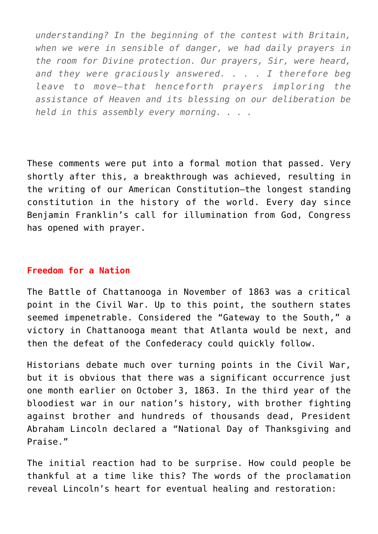*understanding? In the beginning of the contest with Britain, when we were in sensible of danger, we had daily prayers in the room for Divine protection. Our prayers, Sir, were heard, and they were graciously answered. . . . I therefore beg leave to move—that henceforth prayers imploring the assistance of Heaven and its blessing on our deliberation be held in this assembly every morning. . . .*

These comments were put into a formal motion that passed. Very shortly after this, a breakthrough was achieved, resulting in the writing of our American Constitution—the longest standing constitution in the history of the world. Every day since Benjamin Franklin's call for illumination from God, Congress has opened with prayer.

#### **Freedom for a Nation**

The Battle of Chattanooga in November of 1863 was a critical point in the Civil War. Up to this point, the southern states seemed impenetrable. Considered the "Gateway to the South," a victory in Chattanooga meant that Atlanta would be next, and then the defeat of the Confederacy could quickly follow.

Historians debate much over turning points in the Civil War, but it is obvious that there was a significant occurrence just one month earlier on October 3, 1863. In the third year of the bloodiest war in our nation's history, with brother fighting against brother and hundreds of thousands dead, President Abraham Lincoln declared a "National Day of Thanksgiving and Praise."

The initial reaction had to be surprise. How could people be thankful at a time like this? The words of the proclamation reveal Lincoln's heart for eventual healing and restoration: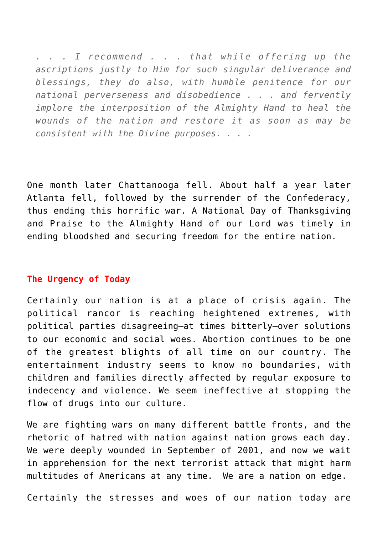*. . . I recommend . . . that while offering up the ascriptions justly to Him for such singular deliverance and blessings, they do also, with humble penitence for our national perverseness and disobedience . . . and fervently implore the interposition of the Almighty Hand to heal the wounds of the nation and restore it as soon as may be consistent with the Divine purposes. . . .*

One month later Chattanooga fell. About half a year later Atlanta fell, followed by the surrender of the Confederacy, thus ending this horrific war. A National Day of Thanksgiving and Praise to the Almighty Hand of our Lord was timely in ending bloodshed and securing freedom for the entire nation.

#### **The Urgency of Today**

Certainly our nation is at a place of crisis again. The political rancor is reaching heightened extremes, with political parties disagreeing—at times bitterly—over solutions to our economic and social woes. Abortion continues to be one of the greatest blights of all time on our country. The entertainment industry seems to know no boundaries, with children and families directly affected by regular exposure to indecency and violence. We seem ineffective at stopping the flow of drugs into our culture.

We are fighting wars on many different battle fronts, and the rhetoric of hatred with nation against nation grows each day. We were deeply wounded in September of 2001, and now we wait in apprehension for the next terrorist attack that might harm multitudes of Americans at any time. We are a nation on edge.

Certainly the stresses and woes of our nation today are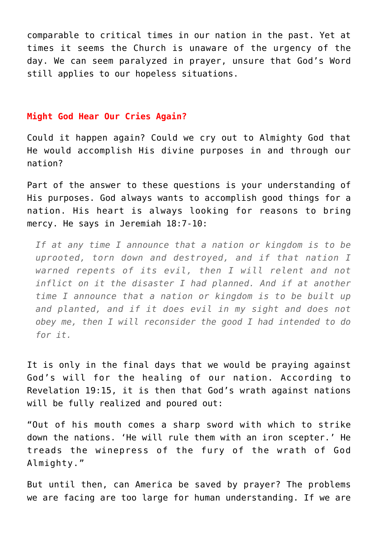comparable to critical times in our nation in the past. Yet at times it seems the Church is unaware of the urgency of the day. We can seem paralyzed in prayer, unsure that God's Word still applies to our hopeless situations.

#### **Might God Hear Our Cries Again?**

Could it happen again? Could we cry out to Almighty God that He would accomplish His divine purposes in and through our nation?

Part of the answer to these questions is your understanding of His purposes. God always wants to accomplish good things for a nation. His heart is always looking for reasons to bring mercy. He says in Jeremiah 18:7-10:

*If at any time I announce that a nation or kingdom is to be uprooted, torn down and destroyed, and if that nation I warned repents of its evil, then I will relent and not inflict on it the disaster I had planned. And if at another time I announce that a nation or kingdom is to be built up and planted, and if it does evil in my sight and does not obey me, then I will reconsider the good I had intended to do for it.*

It is only in the final days that we would be praying against God's will for the healing of our nation. According to Revelation 19:15, it is then that God's wrath against nations will be fully realized and poured out:

"Out of his mouth comes a sharp sword with which to strike down the nations. 'He will rule them with an iron scepter.' He treads the winepress of the fury of the wrath of God Almighty."

But until then, can America be saved by prayer? The problems we are facing are too large for human understanding. If we are